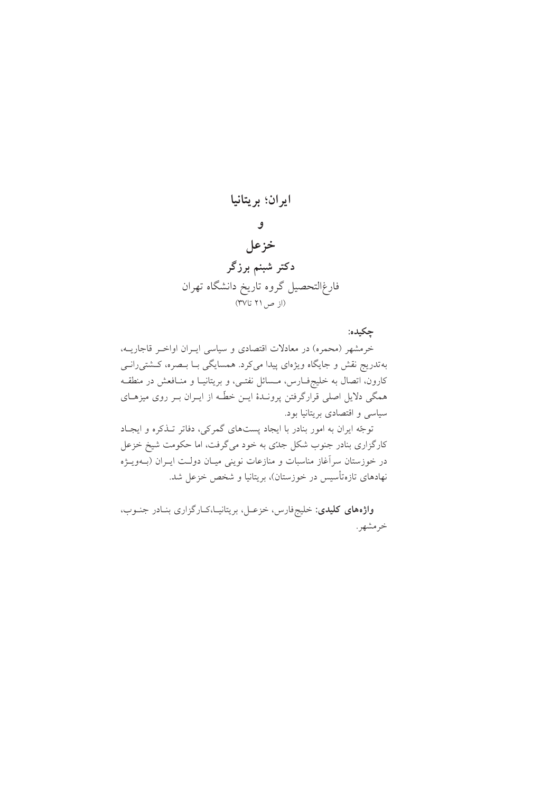

چکیده:

خرمشهر (محمره) در معادلات اقتصادی و سیاسی ایـران اواخـر قاجاریــه، بهتدریج نقش و جایگاه ویژهای پیدا میکرد. همسایگی بـا بـصره، کـشتی٫رانـی کارون، اتصال به خلیجفـارس، مــسائل نفتــی، و بریتانیــا و منــافعش در منطقــه همگی دلایل اصلی قرارگرفتن پرونـدهٔ ایــن خطّـه از ایــران بــر روی میزهــای سیاسی و اقتصادی بریتانیا بود.

توجّه ايران به امور بنادر با ايجاد يستهاى گمركى، دفاتر تـذكره و ايجـاد کارگزاری بنادر جنوب شکل جدّی به خود میگرفت، اما حکومت شیخ خزعل در خوزستان سراًغاز مناسبات و منازعات نوینی میـان دولـت ایــران (بــهویــژه نهادهای تازهتأسیس در خوزستان)، بریتانیا و شخص خزعل شد.

واژههای کلیدی: خلیجفارس، خزعـل، بریتانیـا،کـارگزاری بنـادر جنـوب، خرمشهر.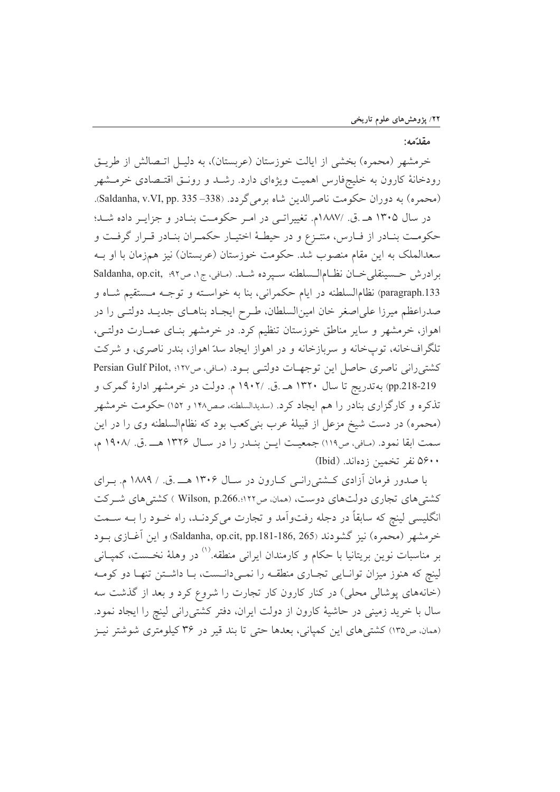## مقدّمه:

خرمشهر (محمره) بخشی از ایالت خوزستان (عربستان)، به دلیـل اتــصالش از طریــق رودخانهٔ کارون به خلیجفارس اهمیت ویژهای دارد. رشـد و رونـق اقتـصادی خرمـشهر (محمره) به دوران حکومت ناصرالدین شاه برمی گردد. (338– 335 .Saldanha, v.VI, pp. 335).

در سال ۱۳۰۵ هـ.ق. /۱۸۸۷م. تغییراتمی در امر حکومت بنادر و جزایـر داده شـد؛ حکومت بنـادر از فـارس، منتـزع و در حیطـهٔ اختیـار حکمـران بنـادر قـرار گرفـت و سعدالملک به این مقام منصوب شد. حکومت خوزستان (عربستان) نیز همزمان با او بـه برادرش حسینقلی خان نظام الـسلطنه سـپرده شـد. (مافی،ج۱، ص۹۲؛ Saldanha, op.cit, ۹۲ paragraph.133) نظامالسلطنه در ايام حكمراني، بنا به خواسـته و توجـه مـستقيم شـاه و صدراعظم میرزا علی اصغر خان امینالسلطان، طـرح ایجـاد بناهـای جدیـد دولتـی را در اهواز، خرمشهر و سایر مناطق خوزستان تنظیم کرد. در خرمشهر بنـای عمـارت دولتـی، تلگرافخانه، توپخانه و سربازخانه و در اهواز ایجاد سدّ اهواز، بندر ناصری، و شرکت كشتىرانى ناصرى حاصل اين توجهـات دولتـى بـود. (مـافى، ص١٢٧؛ Persian Gulf Pilot, pp.218-219) به تدریج تا سال ۱۳۲۰ هـ .ق. /۱۹۰۲ م. دولت در خرمشهر ادارهٔ گمرک و تذکره و کارگزاری بنادر را هم ایجاد کرد. (سدیدالسلطنه، صص۱۴۸ و ۱۵۲) حکومت خرمشهر (محمره) در دست شیخ مزعل از قبیلهٔ عرب بنی کعب بود که نظام|لسلطنه وی را در این سمت ابقا نمود. (مافي، ص١١٩) جمعيت ايـن بنـدر را در سـال ١٣٢۶ هــ.ق. /١٩٠٨ م، ۵۶۰۰ نفر تخمین زدهاند. (Ibid)

با صدور فرمان آزادی کشتی رانبی کبارون در سبال ۱۳۰۶ هـــ .ق. / ۱۸۸۹ م. بـرای کشتی های تجاری دولتهای دوست، (همان ص۱۲۲..Vilson, p.266 ) کشتی های شـرکت انگلیسی لینچ که سابقاً در دجله رفتواّمد و تجارت میکردنـد، راه خــود را بــه ســمت خرمشهر (محمره) نيز گشودند (Saldanha, op.cit, pp.181-186, 265) و اين آغــازي بــود بر مناسبات نوین بریتانیا با حکام و کارمندان ایرانی منطقه.<sup>۱۱</sup> در وهلهٔ نخــست، کمپــانی لینچ که هنوز میزان توانـایی تجـاری منطقـه را نمـیدانـست، بـا داشـتن تنهـا دو کومـه (خانههای پوشالی محلی) در کنار کارون کار تجارت را شروع کرد و بعد از گذشت سه سال با خرید زمینی در حاشیهٔ کارون از دولت ایران، دفتر کشتی رانی لینچ را ایجاد نمود. (همان، ص١٣٥) كشتى هاى اين كميانى، بعدها حتى تا بند قير در ٣۶ كيلومترى شوشتر نيـز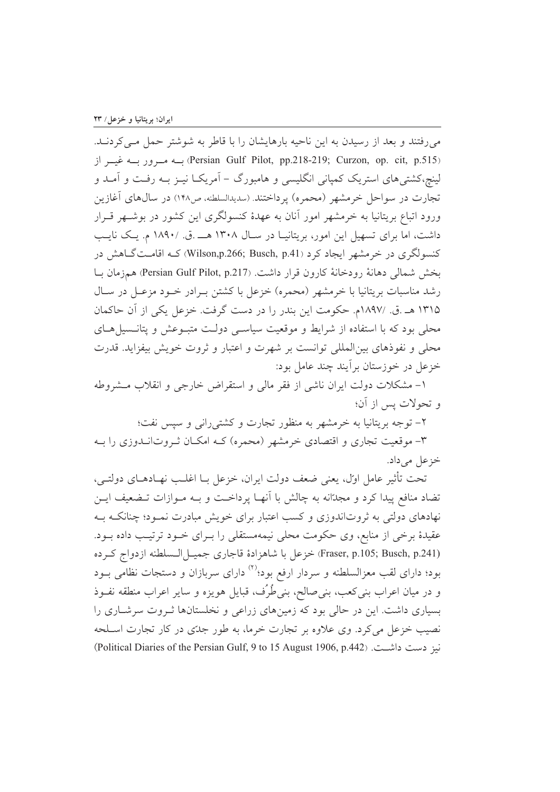می رفتند و بعد از رسیدن به این ناحیه بارهایشان را با قاطر به شوشتر حمل مـی کردنـد. (Persian Gulf Pilot, pp.218-219; Curzon, op. cit, p.515) بسه مسرور بسه غیسر از لینچ،کشتیهای استریک کمپانی انگلیسی و هامبورگ – آمریکـا نیــز بــه رفــت و آمــد و تجارت در سواحل خرمشهر (محمره) پرداختند. (سدیدالسلطنه، ص۱۴۸) در سال۵ای آغازین ورود اتباع بریتانیا به خرمشهر امور آنان به عهدهٔ کنسولگری این کشور در بوشــهر قــرار داشت، اما برای تسهیل این امور، بریتانیـا در سـال ۱۳۰۸ هـــ .ق. /۱۸۹۰ م. یـک نایـب کنسولگری در خرمشهر ایجاد کرد (Wilson,p.266; Busch, p.41) کــه اقامــتگــاهش در بخش شمالي دهانة رودخانة كارون قرار داشت. (Persian Gulf Pilot, p.217) همزمان بـا رشد مناسبات بریتانیا با خرمشهر (محمره) خزعل با کشتن بـرادر خـود مزعـل در سـال ۱۳۱۵ هـ.ق. /۱۸۹۷م. حكومت اين بندر را در دست گرفت. خزعل يكي از آن حاكمان محلی بود که با استفاده از شرایط و موقعیت سیاستی دولت متبـوعش و پتانـسیل هـای محلی و نفوذهای بین المللی توانست بر شهرت و اعتبار و ثروت خویش بیفزاید. قدرت خزعل در خوزستان بر آیند چند عامل بود:

۱– مشکلات دولت ایران ناشی از فقر مالی و استقراض خارجی و انقلاب مــشروطه و تحولات پس از آن؛

۲– توجه بریتانیا به خرمشهر به منظور تجارت و کشتی رانبی و سیس نفت؛

۳- موقعیت تجاری و اقتصادی خرمشهر (محمره) کـه امکـان ثـروتانــدوزی را بــه خزعل می داد.

تحت تأثير عامل اول، يعني ضعف دولت ايران، خزعل بــا اغلــب نهــادهــاي دولتــي، تضاد منافع پیدا کرد و مجدّانه به چالش با انهـا پرداخـت و بــه مــوازات تــضعیف ایــن نهادهای دولتی به ثروتاندوزی و کسب اعتبار برای خویش مبادرت نمـود؛ چنانکـه بـه عقیدهٔ برخی از منابع، وی حکومت محلی نیمهمستقلی را بـرای خـود ترتیـب داده بـود. (Fraser, p.105; Busch, p.241) خزعل با شاهزادهٔ قاجاری جمیـل|لـسلطنه ازدواج كـرده بود؛ دارای لقب معزالسلطنه و سردار ارفع بود؛<sup>(۲)</sup> دارای سربازان و دستجات نظامی بــود و در میان اعراب بنی کعب، بنی صالح، بنی طُرُف، قبایل هویزه و سایر اعراب منطقه نفـوذ بسیاری داشت. این در حالی بود که زمینهای زراعی و نخلستانها ثـروت سرشـاری را نصیب خزعل می کرد. وی علاوه بر تجارت خرما، به طور جدّی در کار تجارت اسـلحه نيز دست داشت. (Political Diaries of the Persian Gulf, 9 to 15 August 1906, p.442)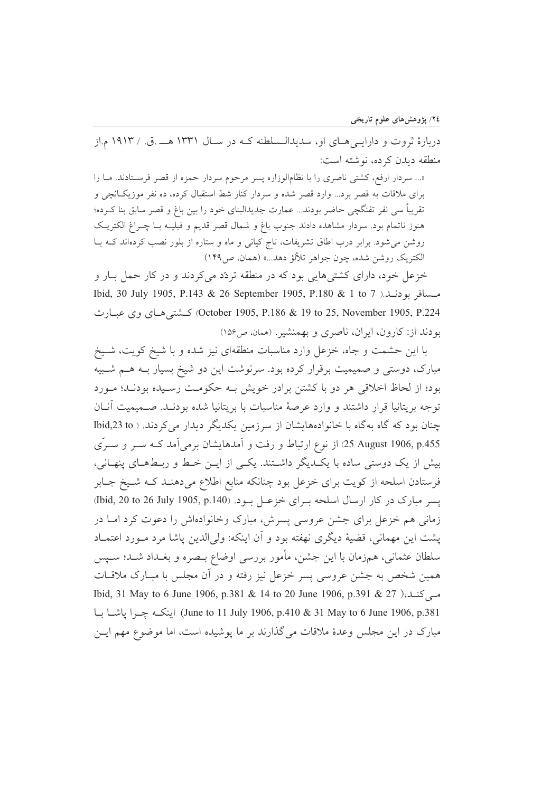دربارهٔ ثروت و دارایے هیای او، سدیدالـسلطنه کـه در سـال ۱۳۳۱ هـــ .ق. / ۱۹۱۳ م.از منطقه ديدن كرده، نوشته است:

«... سردار ارفع، کشتی ناصری را با نظامالوزاره پسر مرحوم سردار حمزه از قصر فرسـتادند. مـا را برای ملاقات به قصر برد... وارد قصر شده و سردار کنار شط استقبال کرده، ده نفر موزیکانچی و تقریباً سی نفر تفنگچی حاضر بودند... عمارت جدیدالبنای خود را بین باغ و قصر سابق بنا کـرده؛ هنوز ناتمام بود. سردار مشاهده دادند جنوب باغ و شمال قصر قدیم و فیلیـه بــا چــراغ الکتریــک روشن می شود. برابر درب اطاق تشریفات، تاج کیانی و ماه و ستاره از بلور نصب کردهاند کـه بـا الكتريك روشن شده، چون جواهر تلألؤ دهد...» (همان، ص١۴٩)

خزعل خود، دارای کشتیهایی بود که در منطقه تردّد میکردند و در کار حمل بـار و مسسافر بودنــلا. 1 Ibid, 30 July 1905, P.143 & 26 September 1905, P.180 & 1 to 7 October 1905, P.186 & 19 to 25, November 1905, P.224) كـشتى هـاى وى عبـارت بودند از: کارون، ایران، ناصری و بهمنشیر. (همان، ص۱۵۶)

با این حشمت و جاه، خزعل وارد مناسبات منطقهای نیز شده و با شیخ کویت، شـیخ مبارک، دوستی و صمیمیت برقرار کرده بود. سرنوشت این دو شیخ بسیار بـه هـم شـبیه بود؛ از لحاظ اخلاقی هر دو با کشتن برادر خویش بـه حکومـت رسـیده بودنـد؛ مـورد توجه بريتانيا قرار داشتند و وارد عرصهٔ مناسبات با بريتانيا شده بودنـد. صـميميت آنــان چنان بود که گاه بهگاه با خانوادههایشان از سرزمین یکدیگر دیدار می کردند. ( Ibid,23 to 25 August 1906, p.455) از نوع ارتباط و رفت و آمدهایشان برمی آمد کـه ســر و ســرّی بیش از یک دوستی ساده با یک دیگر داشتند. یکی از ایـن خـط و ربـطهـای پنهـانی، فرستادن اسلحه از کویت برای خزعل بود چنانکه منابع اطلاع میدهنـد کـه شـیخ جـابر يسر مبارك در كار ارسال اسلحه بـراي خزعـل بـود. (140, 1905 July) bid, 20 to 26 زمانی هم خزعل برای جشن عروسی پسرش، مبارک وخانوادهاش را دعوت کرد امـا در يشت اين مهماني، قضية ديگري نهفته بود و آن اينكه: ولي الدين ياشا مرد مـورد اعتمـاد سلطان عثماني، همزمان با اين جشن، مأمور بررسي اوضاع بـصره و بغـداد شـد؛ سـيس همین شخص به جشن عروسی پسر خزعل نیز رفته و در آن مجلس با مبـارک ملاقـات مبی کنید،( 27 & 1901, 1906, 1906 Ibid, 31 May to 6 June 1906, p.381 & 14 to 20 June 1906, p.391 June to 11 July 1906, p.410 & 31 May to 6 June 1906, p.381) اينكـه جـرا ياشـا بـا مبارک در این مجلس وعدهٔ ملاقات می گذارند بر ما پوشیده است، اما موضوع مهم ایـن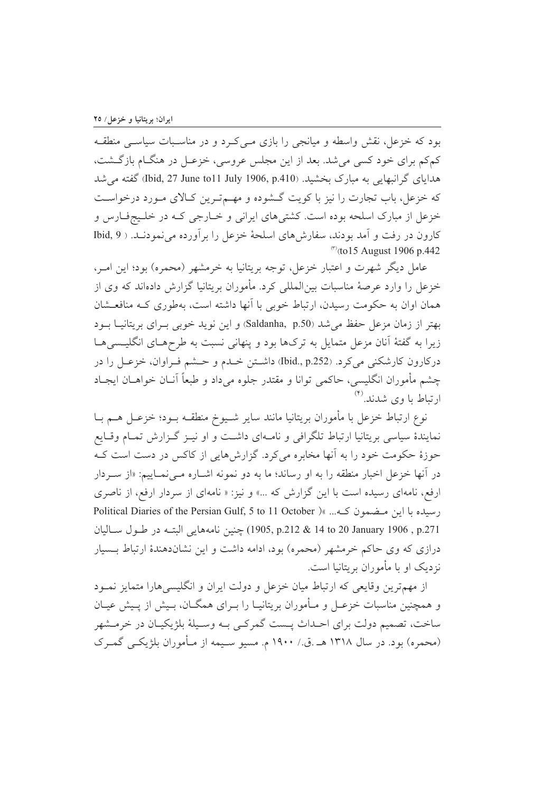بود که خزعل، نقش واسطه و میانجی را بازی مـی کـرد و در مناسـبات سیاسـی منطقـه کمکم برای خود کسی می شد. بعد از این مجلس عروسی، خزعـل در هنگــام بازگــشت، هدایای گرانبهایی به مبارک بخشید. (Ibid, 27 June to11 July 1906, p.410) گفته می شد که خزعل، باب تجارت را نیز با کویت گـشوده و مهـمتـرین کـالای مـورد درخواسـت خزعل از مبارک اسلحه بوده است. کشتی های ایرانی و خــارجی کــه در خلــیجفــارس و کارون در رفت و آمد بودند، سفارشهای اسلحهٔ خزعل را برآورده می نمودنـد. ( Ibid, 9  $\frac{(1)}{(1)}$  (to 15 August 1906 p.442)

عامل دیگر شهرت و اعتبار خزعل، توجه بریتانیا به خرمشهر (محمره) بود؛ این امـر، خزعل را وارد عرصهٔ مناسبات بین|لمللی کرد. مأموران بریتانیا گزارش دادهاند که وی از همان اوان به حکومت رسیدن، ارتباط خوبی با آنها داشته است، بهطوری کـه منافعـشان بهتر از زمان مزعل حفظ می شد (Saldanha, p.50) و این نوید خوبی بـرای بریتانیــا بــود زیرا به گفتهٔ آنان مزعل متمایل به ترکها بود و پنهانی نسبت به طرحهـای انگلیـسیهـا دركارون كارشكني ميكرد. (Ibid., p.252) داشتن خلدم و حـشم فـراوان، خزعـل را در چشم مأموران انگلیسی، حاکمی توانا و مقتدر جلوه میٖداد و طبعاً آنــان خواهــان ایجــاد ارتباط با وی شدند.<sup>(۴)</sup>

نوع ارتباط خزعل با مأموران بريتانيا مانند ساير شـيوخ منطقــه بــود؛ خزعــل هــم بــا نمایندهٔ سیاسی بریتانیا ارتباط تلگرافی و نامـهای داشـت و او نیـز گـزارش تمـام وقـایع حوزهٔ حکومت خود را به آنها مخابره میکرد. گزارشهایی از کاکس در دست است کـه در آنها خزعل اخبار منطقه را به او رساند؛ ما به دو نمونه اشــاره مــیiمــاییم: «از ســردار ارفع، نامهای رسیده است با این گزارش که ...» و نیز: « نامهای از سردار ارفع، از ناصری political Diaries of the Persian Gulf, 5 to 11 October ) ( سیده یا این متضمون ک... ) p.271 , 14to 20 January 1906 , p.271 ,حنين نامههايي البتـه در طـول سـاليان درازی که وی حاکم خرمشهر (محمره) بود، ادامه داشت و این نشاندهندهٔ ارتباط بـسیار نزدیک او با مأموران بریتانیا است.

از مهمترین وقایعی که ارتباط میان خزعل و دولت ایران و انگلیسی هارا متمایز نمـود و همچنین مناسبات خزعـل و مـأموران بریتانیـا را بـرای همگــان، بـیش از پــیش عیــان ساخت، تصمیم دولت برای احـداث پـست گمرکـی بـه وسـیلهٔ بلژیکیـان در خرمـشهر (محمره) بود. در سال ۱۳۱۸ هـ .ق./ ۱۹۰۰ م. مسیو سـیمه از مـأموران بلژیکـی گمـرک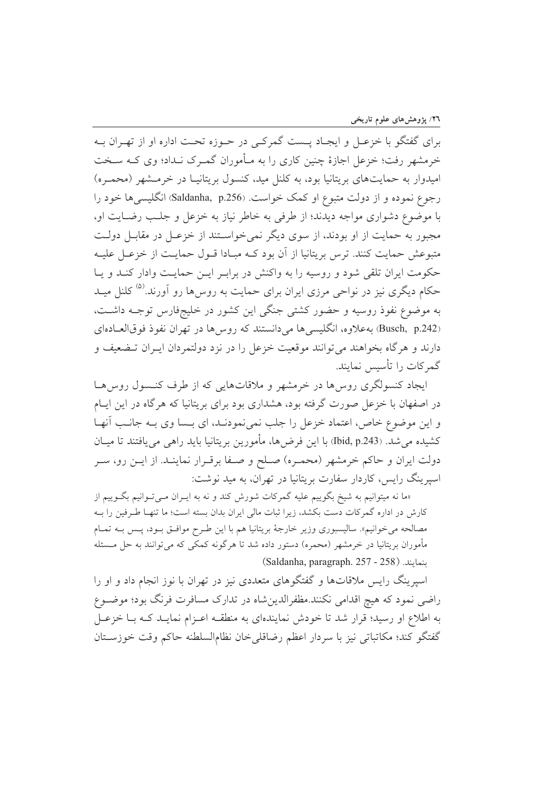برای گفتگو با خزعـل و ایجـاد پــست گمرکــی در حــوزه تحــت اداره او از تهــران بــه خرمشهر رفت؛ خزعل اجازهٔ چنین کاری را به مـأموران گمـرک نـداد؛ وی کـه سـخت امیدوار به حمایتهای بریتانیا بود، به کلنل مید، کنسول بریتانیـا در خرمـشهر (محمـره) رجوع نموده و از دولت متبوع او کمک خواست. (Saldanha, p.256) انگلیسی ها خود را با موضوع دشواري مواجه ديدند؛ از طرفي به خاطر نياز به خزعل و جلب رضـايت او، مجبور به حمایت از او بودند، از سوی دیگر نمی خواستند از خزعـل در مقابـل دولـت متبوعش حمايت كنند. ترس بريتانيا از آن بود كــه مبــادا قــول حمايــت از خزعــل عليــه حکومت ایران تلقی شود و روسیه را به واکنش در براب ایـن حمایـت وادار کنـد و یـا حکام دیگری نیز در نواحی مرزی ایران برای حمایت به روس۵ا رو آورند.<sup>۵)</sup> کلنل میــد به موضوع نفوذ روسیه و حضور کشتی جنگی این کشور در خلیجفارس توجـه داشـت، (Busch, p.242) به علاوه، انگلیسی ها می دانستند که روس ها در تهران نفوذ فوقالعـادهای دارند و هر گاه بخواهند می توانند موقعیت خزعل را در نزد دولتمردان ایـران تـضعیف و گمرکات را تأسس نمایند.

ایجاد کنسولگری روس ها در خرمشهر و ملاقاتهایی که از طرف کنـسول روس هـا در اصفهان با خزعل صورت گرفته بود، هشداری بود برای بریتانیا که هرگاه در این ایـام و اين موضوع خاص، اعتماد خزعل را جلب نمي نمودنـد، اي بـسا وي بـه جانـب آنهـا كشيده مي شد. (Ibid, p.243) با اين فرضها، مأمورين بريتانيا بايد راهي مي يافتند تا ميــان دولت ایران و حاکم خرمشهر (محمـره) صـلح و صـفا برقـرار نماینـد. از ایــن رو، ســر اسیرینگ رایس، کاردار سفارت بریتانیا در تهران، به مید نوشت:

«ما نه میتوانیم به شیخ بگوییم علیه گمرکات شورش کند و نه به ایــران مــیتــوانیم بگــوییم از كارش در اداره گمركات دست بكشد، زيرا ثبات مالي ايران بدان بسته است؛ ما تنهـا طـرفين را بــه مصالحه مي خوانيم». ساليسبوري وزير خارجهٔ بريتانيا هم با اين طـرح موافـق بـود، پـس بــه تمـام مأموران بریتانیا در خرمشهر (محمره) دستور داده شد تا هرگونه کمکی که میتوانند به حل مــسئله نمايند. (Saldanha, paragraph. 257 - 258)

اسیرینگ رایس ملاقاتها و گفتگوهای متعددی نیز در تهران با نوز انجام داد و او را راضی نمود که هیچ اقدامی نکنند.مظفرالدین شاه در تدارک مسافرت فرنگ بود؛ موضوع به اطلاع او رسید؛ قرار شد تا خودش نمایندهای به منطقـه اعـزام نمایـد کـه بـا خزعـل گفتگو كند؛ مكاتباتي نيز با سردار اعظم رضاقلي خان نظام السلطنه حاكم وقت خوزسـتان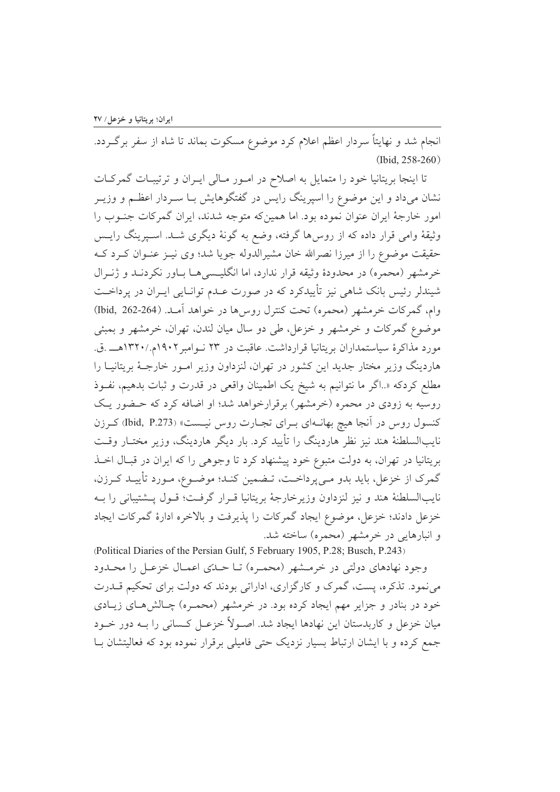انجام شد و نهایتاً سردار اعظم اعلام کرد موضوع مسکوت بماند تا شاه از سفر برگردد. (Ibid, 258-260)

تا اینجا بریتانیا خود را متمایل به اصلاح در امـور مـالی ایـران و ترتیبـات گمرکـات نشان میداد و این موضوع را اسپرینگ رایس در گفتگوهایش بـا ســردار اعظــم و وزیــر امور خارجهٔ ایران عنوان نموده بود. اما همینکه متوجه شدند، ایران گمرکات جنوب را وثیقهٔ وامی قرار داده که از روس۵ا گرفته، وضع به گونهٔ دیگری شـد. اسـپرینگ رایـس حقیقت موضوع را از میرزا نصرالله خان مشیرالدوله جویا شد؛ وی نیـز عنـوان کـرد کـه خرمشهر (محمره) در محدودهٔ وثیقه قرار ندارد، اما انگلیسه ما باور نکردنـد و ژنـرال شیندلر رئیس بانک شاهی نیز تأییدکرد که در صورت عـدم توانـایی ایـران در پرداخـت وام، گمركات خرمشهر (محمره) تحت كنترل روسها در خواهد آمـد. (264-162) (Ibid, 262) موضوع گمرکات و خرمشهر و خزعل، طی دو سال میان لندن، تهران، خرمشهر و بمبئی مورد مذاکرهٔ سیاستمداران بریتانیا قرارداشت. عاقبت در ۲۳ نـوامبر ۱۹۰۲م./۱۳۲۰هــ .ق. هاردینگ وزیر مختار جدید این کشور در تهران، لنزداون وزیر امـور خارجـهٔ بریتانیـا را مطلع کردکه «.اگر ما نتوانیم به شیخ یک اطمینان واقعی در قدرت و ثبات بدهیم، نفوذ روسیه به زودی در محمره (خرمشهر) برقرارخواهد شد؛ او اضافه کرد که حـضور یـک کنسول روس در آنجا هیچ بهانــهای بــرای تجــارت روس نیــست» (Ibid, P.273) کــرزن نایبالسلطنهٔ هند نیز نظر هاردینگ را تأیید کرد. بار دیگر هاردینگ، وزیر مختـار وقـت بریتانیا در تهران، به دولت متبوع خود پیشنهاد کرد تا وجوهی را که ایران در قبـال اخــذ گمرک از خزعل، باید بدو مـیپرداخـت، تـضمین کنـد؛ موضـوع، مـورد تأییـد کـرزن، نايبالسلطنهٔ هند و نيز لنزداون وزيرخارجهٔ بريتانيا قـرار گرفـت؛ قـول پــشتيباني را بــه خزعل دادند؛ خزعل، موضوع ايجاد گمركات را پذيرفت و بالاخره ادارهٔ گمركات ايجاد و انبارهایی در خرمشهر (محمره) ساخته شد.

(Political Diaries of the Persian Gulf, 5 February 1905, P.28; Busch, P.243) وجود نهادهای دولتی در خرمشهر (محمـره) تـا حـدّی اعمـال خزعـل را محـدود می نمود. تذکره، پست، گمرک و کارگزاری، اداراتی بودند که دولت برای تحکیم قــدرت خود در بنادر و جزایر مهم ایجاد کرده بود. در خرمشهر (محمـره) چـالش۵حـای زیـادی میان خزعل و کاربدستان این نهادها ایجاد شد. اصـولاً خزعـل کـسانی را بــه دور خــود جمع کرده و با ایشان ارتباط بسیار نزدیک حتی فامیلی برقرار نموده بود که فعالیتشان بـا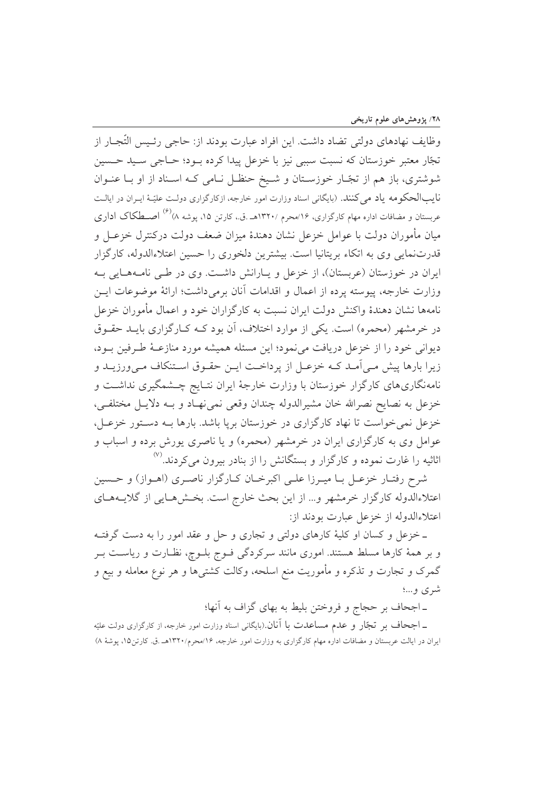وظايف نهادهاي دولتي تضاد داشت. اين افراد عبارت بودند از: حاجي رئـيس التَّجــار از تجّار معتبر خوزستان كه نسبت سببي نيز با خزعل پيدا كرده بـود؛ حـاجي سـيد حـسين شوشتری، باز هم از تجّار خوزستان و شیخ حنظل نـامی کـه اسـناد از او بـا عنـوان نایبالحکومه یاد می کنند. (بایگانی اسناد وزارت امور خارجه، ازکارگزاری دولت علیّـهٔ ایـران در ایالـت عربستان و مضافات اداره مهام کارگزاری، ۱۶/محرم /۱۳۲۰هـ .ق.، کارتن ۱۵، پوشه ۸)<sup>(۶)</sup> اصــطکاک اداری میان مأموران دولت با عوامل خزعل نشان دهندهٔ میزان ضعف دولت درکنترل خزعـل و قدرتنمایی وی به اتکاء بریتانیا است. بیشترین دلخوری را حسین اعتلاءالدوله، کارگزار ایران در خوزستان (عربستان)، از خزعل و پـارانش داشــت. وی در طــی نامـههـایی بـه وزارت خارجه، پیوسته پرده از اعمال و اقدامات آنان برمی داشت؛ ارائهٔ موضوعات ایس نامهها نشان دهندهٔ واکنش دولت ایران نسبت به کارگزاران خود و اعمال مأموران خزعل در خرمشهر (محمره) است. یکی از موارد اختلاف، آن بود کـه کـارگزاری بایــد حقــوق ديواني خود را از خزعل دريافت مي نمود؛ اين مسئله هميشه مورد منازعــهٔ طـرفين بــود، زیرا بارها پیش مـی|َمـد کـه خزعـل از پرداخـت ایـن حقـوق اسـتنکاف مـیورزیــد و نامهنگاریهای کارگزار خوزستان با وزارت خارجهٔ ایران نتـایج چـشمگیری نداشـت و خزعل به نصایح نصرالله خان مشیرالدوله چندان وقعی نمی نهـاد و بـه دلایـل مختلفـی، خزعل نمی خواست تا نهاد کارگزاری در خوزستان برپا باشد. بارها بـه دسـتور خزعـل، عوامل وی به کارگزاری ایران در خرمشهر (محمره) و یا ناصری پورش برده و اسباب و اثاثیه را غارت نموده و کارگزار و بستگانش را از بنادر بیرون می کردند.<sup>(۷)</sup>

شرح رفتـار خزعـل بــا ميــرزا علــى اكبرخــان كــارگزار ناصــرى (اهــواز) و حــسين اعتلاءالدوله کارگزار خرمشهر و… از این بحث خارج است. بخـش۵مـایی از گلایــههـای اعتلاءالدوله از خزعل عبارت بودند از:

ـ خزعل و كسان او كليهٔ كارهاى دولتى و تجارى و حل و عقد امور را به دست گرفتـه و بر همهٔ کارها مسلط هستند. اموری مانند سرکردگی فـوج بلـوچ، نظـارت و ریاسـت بـر گمرک و تجارت و تذکره و مأموریت منع اسلحه، وکالت کشتیها و هر نوع معامله و بیع و شری و…؛

ـ اجحاف بر حجاج و فروختن بليط به بهاى گزاف به آنها؛

ــ اجحاف بر تجّار و عدم مساعدت با آنان.(بایگانی اسناد وزارت امور خارجه، از کارگزاری دولت علیّه ایران در ایالت عربستان و مضافات اداره مهام کارگزاری به وزارت امور خارجه، ۱۶/محرم/۱۳۲۰هـ .ق. کارتن۱۵، پوشهٔ ۸)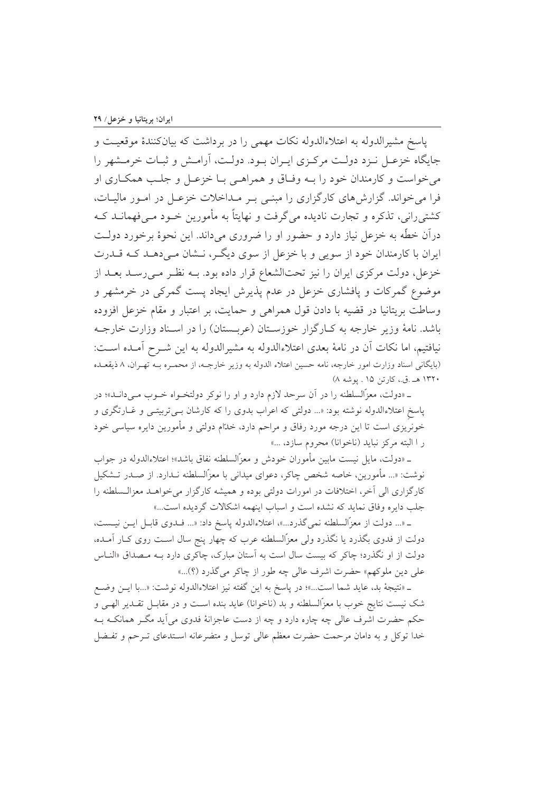ياسخ مشيرالدوله به اعتلاءالدوله نكات مهمى را در برداشت كه بيانكنندهٔ موقعيت و جایگاه خزعـل نـزد دولـت مركـزى ايـران بـود. دولـت، آرامـش و ثبـات خرمـشهر را مي خواست و كارمندان خود را بـه وفـاق و همراهـي بـا خزعـل و جلـب همكـاري او فرا می خواند. گزارش های کارگزاری را مبنی بـر مـداخلات خزعـل در امـور ماليـات، کشتی رانی، تذکره و تجارت نادیده می گرفت و نهایتاً به مأمورین خــود مــی فهمانــد کــه درآن خطّه به خزعل نیاز دارد و حضور او را ضروری میداند. این نحوهٔ برخورد دولت ایران با کارمندان خود از سویی و با خزعل از سوی دیگـر، نــشان مـی دهــد کــه قــدرت خزعل، دولت مرکزی ایران را نیز تحتالشعاع قرار داده بود. بـه نظـر مـی رسـد بعـد از موضوع گمرکات و پافشاری خزعل در عدم پذیرش ایجاد پست گمرکی در خرمشهر و وساطت بریتانیا در قضیه با دادن قول همراهی و حمایت، بر اعتبار و مقام خزعل افزوده باشد. نامهٔ وزیر خارجه به کـارگزار خوزسـتان (عربـستان) را در اسـناد وزارت خارجـه نيافتيم، اما نكات أن در نامهٔ بعدي اعتلاءالدوله به مشيرالدوله به اين شـرح أمـده اسـت: (بایگانی اسناد وزارت امور خارجه، نامه حسین اعتلاء الدوله به وزیر خارجـه، از محمـره بـه تهـران، ٨ ذیقعـده ۱۳۲۰ هـ .ق.، کارتن ۱۵ . يوشه ۸)

ـ «دولت، معزّالسلطنه را در آن سرحد لازم دارد و او را نوکر دولتخـواه خـوب مـیدانـد»؛ در پاسخ اعتلاءالدوله نوشته بود: «... دولتی که اعراب بدوی را که کارشان بـیتربیتـی و غــارتگری و خونریزی است تا این درجه مورد رفاق و مراحم دارد، خدّام دولتی و مأمورین دایره سیاسی خود ر ا البته مركز نبايد (ناخوانا) محروم سازد، ...»

ـ «دولت، مايل نيست مابين مأموران خودش و معزّالسلطنه نفاق باشد»؛ اعتلاءالدوله در جواب نوشت: «... مأمورين، خاصه شخص چاكر، دعواي ميداني با معزّالسلطنه نــدارد. از صــدر تــشكيل کارگزاری الی آخر، اختلافات در امورات دولتی بوده و همیشه کارگزار می خواهـد معزالـسلطنه را جلب دايره وفاق نمايد كه نشده است و اسباب اينهمه اشكالات گرديده است...»

\_ «... دولت از معزّالسلطنه نمي گذرد...»، اعتلاءالدوله پاسخ داد: «... فـدوى قابـل ايـن نيـست، دولت از فدوی بگذرد یا نگذرد ولی معزّالسلطنه عرب که چهار پنج سال اسـت روی کـار آمـده، دولت از او نگذرد؛ چاکر که بیست سال است به آستان مبارک، چاکری دارد بــه مــصداق «النــاس علي دين ملوكهم» حضرت اشرف عالي چه طور از چاكر مي گذرد (؟)...»

\_ «نتيجة بد، عايد شما است…»؛ در ياسخ به اين گفته نيز اعتلاءالدوله نوشت: «…با ايـن وضـع شک نیست نتایج خوب با معزّالسلطنه و بد (ناخوانا) عاید بنده اسـت و در مقابـل تقــدیر الهـی و حکم حضرت اشرف عالی چه چاره دارد و چه از دست عاجزانهٔ فدوی می آید مگـر همانکـه بـه خدا توكل و به دامان مرحمت حضرت معظم عالى توسل و متضرعانه اسـتدعاى تـرحم و تفـضل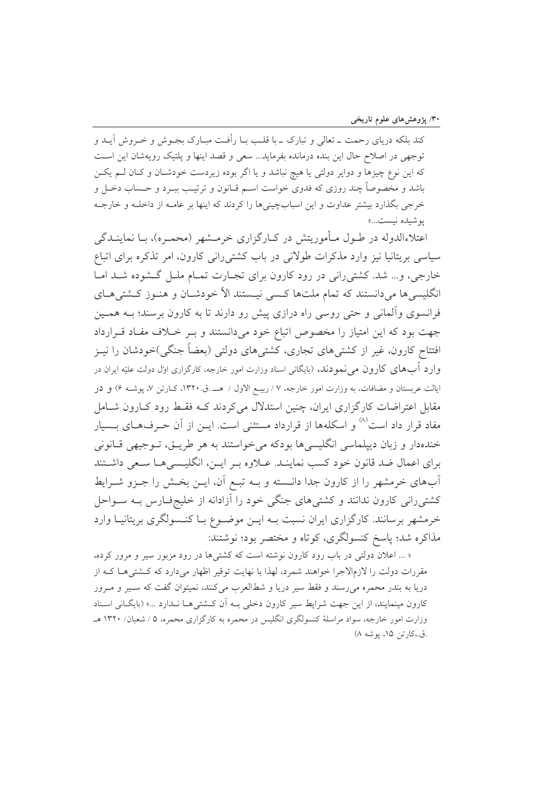کند بلکه دریای رحمت ــ تعالی و تبارک ــ با قلـب بــا رأفـت مبــارک بجــوش و خــروش آيــد و توجهي در اصلاح حال اين بنده درمانده بفرمايد... سعى و قصد اينها و يلتيک رويهشان اين است که این نوع چیزها و دوایر دولتی یا هیچ نباشد و یا اگر بوده زیردست خودشـان و کـان لـم یکـن باشد و مخصوصاً چند روزی که فدوی خواست اسـم قــانون و ترتیـب ببــرد و حــساب دخــل و خرجی بگذارد بیشتر عداوت و این اسبابچینیها را کردند که اینها بر عامـه از داخلـه و خارجـه بوشيده نيست...»

اعتلاءالدوله در طــول مــأموریتش در کــارگزاری خرمــشهر (محمــره)، بــا نماینـــدگی سیاسی بریتانیا نیز وارد مذکرات طولانی در باب کشتی رانی کارون، امر تذکره برای اتباع خارجی، و... شد. کشتی رانی در رود کارون برای تجـارت تمـام ملـل گـشوده شـد امـا انگلیسی ها می دانستند که تمام ملتها کسبی نیستند الاً خودشـان و هنـوز کـشتی هـای فرانسوی وألمانی و حتی روسی راه درازی پیش رو دارند تا به کارون برسند؛ بـه همـین جهت بود که این امتیاز را مخصوص اتباع خود میدانستند و بـر خـلاف مفـاد قـرارداد افتتاح کارون، غیر از کشتی۵های تجاری، کشتی۵ای دولتی (بعضاً جنگی)خودشان را نیــز وارد آبهای کارون می نمودند، (بایگانی اسناد وزارت امور خارجه، کارگزاری اول دولت علیّه ایران در ایالت عربستان و مضافات، به وزارت امور خارجه، ۷ / ربیـع الاول / هـــــ.ق.۱۳۲۰، کــارتن ۷، یوشــه ۶) و در مقابل اعتراضات کارگزاری ایران، چنین استدلال می کردند کـه فقـط رود کـارون شـامل مفاد قرار داد است<sup>۸۱</sup> و اسکلهها از قرارداد مستثنی است. ایــن از آن حــرفهــای بــسیار خندهدار و زبان ديپلماسي انگليسي ها بودكه مي خواستند به هر طريــق، تــوجيهي قــانوني براي اعمال ضد قانون خود كسب نماينـد. عــلاوه بـر ايــن، انگليـسي هـا سـعي داشـتند أبهای خرمشهر را از کارون جدا دانـسته و بـه تبـع آن، ایــن بخـش را جــزو شــرایط کشتی رانی کارون ندانند و کشتی های جنگی خود را آزادانه از خلیجفارس بـه سـواحل خرمشهر برسانند. کارگزاری ایران نسبت بـه ایــن موضــوع بــا کنــسولگری بریتانیــا وارد مذاکره شد؛ پاسخ کنسولگري، کوتاه و مختصر بود؛ نوشتند:

« … اعلان دولتی در باب رود کارون نوشته است که کشتی ها در رود مزبور سیر و مرور کرده، مقررات دولت را لازمالاجرا خواهند شمرد، لهذا با نهايت توقير اظهار مي دارد كه كــشتى هــا كــه از دریا به بندر محمره میرسند و فقط سیر دریا و شطالعرب میکنند، نمیتوان گفت که سـیر و مـرور کارون مینمایند، از این جهت شرایط سیر کارون دخلی بـه آن کـشتی هـا نـدارد ...» (بایگـانی اسـناد وزارت امور خارجه، سواد مراسلهٔ کنسولگری انگلیس در محمره به کارگزاری محمره، ۵ / شعبان/ ۱۳۲۰ هـ .ق.،كارتين ١۵، بوشه ٨)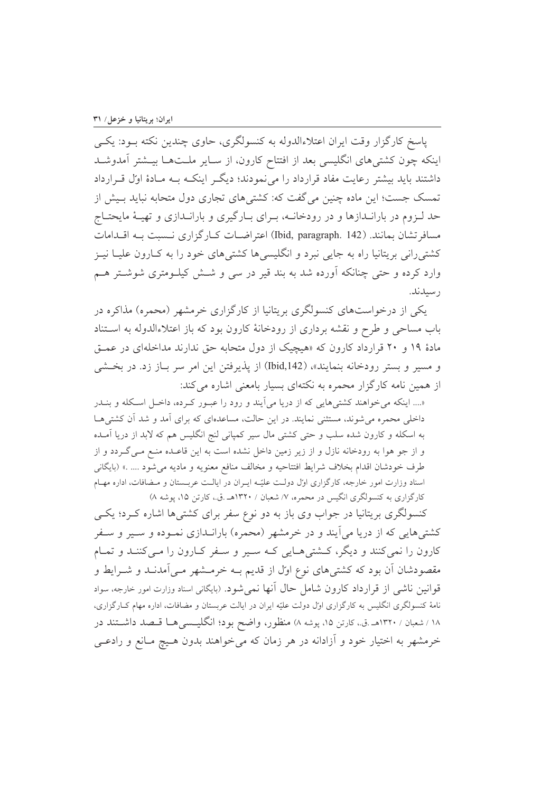ياسخ كارگزار وقت ايران اعتلاءالدوله به كنسولگري، حاوي چندين نكته بـود: يكـي اینکه چون کشتیهای انگلیسی بعد از افتتاح کارون، از سـایر ملـتهـا بیـشتر آمدوشـد داشتند باید بیشتر رعایت مفاد قرارداد را می نمودند؛ دیگر اینکـه بـه مـادهٔ اول قـرارداد تمسک جست؛ این ماده چنین می گفت که: کشتیهای تجاری دول متحابه نباید بـیش از حد لـزوم در بارانـدازها و در رودخانــه، بـراي بـارگيري و بارانـدازي و تهيـهٔ مايحتـاج مسافر تشان بمانند. (Ibid, paragraph. 142) اعتراضـات كـاركزاري نـسبت بـه اقـدامات کشتی رانی بریتانیا راه به جایی نبرد و انگلیسی ها کشتی های خود را به کـارون علیــا نیــز وارد کرده و حتی چنانکه آورده شد به بند قیر در سی و شــش کیلــومتری شوشــتر هــم ر سىلانلا.

یکی از درخواستهای کنسولگری بریتانیا از کارگزاری خرمشهر (محمره) مذاکره در باب مساحی و طرح و نقشه برداری از رودخانهٔ کارون بود که باز اعتلاءالدوله به اســتناد مادهٔ ۱۹ و ۲۰ قرارداد کارون که «هیچیک از دول متحابه حق ندارند مداخلهای در عمـق و مسير و بستر رودخانه بنمايند»، (Ibid,142) از يذيرفتن اين امر سر بـاز زد. در بخـشي از همین نامه کارگزار محمره به نکتهای بسیار بامعنی اشاره می کند:

«.... اینکه میخواهند کشتیهایی که از دریا می آیند و رود را عبور کرده، داخل اسکله و بنـدر داخلی محمره می شوند، مستثنی نمایند. در این حالت، مساعدهای که برای آمد و شد آن کشتی هـا به اسکله و کارون شده سلب و حتی کشتی مال سیر کمپانی لنج انگلیس هم که لابد از دریا آمـده و از جو هوا به رودخانه نازل و از زیر زمین داخل نشده است به این قاعـده منــع مــی گــردد و از طرف خودشان اقدام بخلاف شرايط افتتاحيه و مخالف منافع معنويه و ماديه مى شود …. » (بايگانى اسناد وزارت امور خارجه، کارگزاری اول دولت علیّه ایـران در ایالـت عربـستان و مـضافات، اداره مهـام کارگزاری به کنسولگری انگیس در محمره، ۷/ شعبان / ۱۳۲۰هـ .ق.، کارتن ۱۵، پوشه ۸)

کنسولگری بریتانیا در جواب وی باز به دو نوع سفر برای کشتیها اشاره کـرد؛ یکـی کشتیهایی که از دریا میآیند و در خرمشهر (محمره) بارانــدازی نمــوده و ســیر و سـفر کارون را نمیکنند و دیگر، کشتیهایی کـه سـیر و سـفر کـارون را مـیکننـد و تمـام مقصودشان اَن بود که کشتیهای نوع اوّل از قدیم بــه خرمــشهر مــی|مدنــد و شــرایط و قوانین ناشی از قرارداد کارون شامل حال آنها نمی شود. (بایگانی اسناد وزارت امور خارجه، سواد نامهٔ کنسولگری انگلیس به کارگزاری اول دولت علیّه ایران در ایالت عربستان و مضافات، اداره مهام کـارگزاری، ۱۸ / شعبان / ۱۳۲۰هـ .ق.، کارتن ۱۵، پوشه ۸) منظور، واضح بود؛ انگلیــسـی۵ــا قــصد داشــتند در خرمشهر به اختیار خود و آزادانه در هر زمان که می خواهند بدون هـیچ مـانع و رادعـی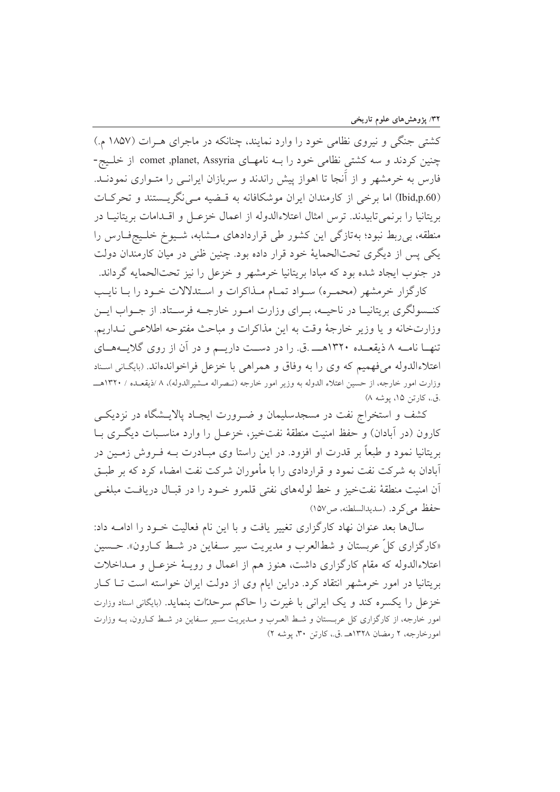کشتی جنگی و نیروی نظامی خود را وارد نمایند، چنانکه در ماجرای هـرات (۱۸۵۷ م.) چنین کردند و سه کشتی نظامی خود را بـه نامهـای comet ,planet, Assyria از خلـیج-فارس به خرمشهر و از آنجا تا اهواز پیش راندند و سربازان ایرانسی را متـواری نمودنــد. (Ibid,p.60) اما برخی از کارمندان ایران موشکافانه به قضیه می نگریستند و تحرکات بريتانيا را برنمي تابيدند. ترس امثال اعتلاءالدوله از اعمال خزعـل و اقــدامات بريتانيــا در منطقه، بی ربط نبود؛ بهتازگی این کشور طی قراردادهای مـشابه، شـیوخ خلـیجفـارس را یکی پس از دیگری تحتالحمایهٔ خود قرار داده بود. چنین ظنی در میان کارمندان دولت در جنوب ایجاد شده بود که مبادا بریتانیا خرمشهر و خزعل را نیز تحتالحمایه گرداند.

كارگزار خرمشهر (محمره) سـواد تمـام مـذاكرات و اسـتدلالات خـود را بـا نايـب كنــسولگرى بريتانيــا در ناحيــه، بــراي وزارت امــور خارجــه فرســتاد. از جــواب ايــن وزارتخانه و يا وزير خارجهٔ وقت به اين مذاكرات و مباحث مفتوحه اطلاعـي نـداريم. تنهـا نامـه ۸ ذيقعـده ١٣٢٠هـــ .ق. را در دسـت داريــم و در آن از روى گلايــههــاى اعتلاءالدوله مي فهميم كه وي را به وفاق و همراهي با خزعل فراخواندهاند. (بايگاني اسناد وزارت امور خارجه، از حسین اعتلاء الدوله به وزیر امور خارجه (نـصراله مـشیرالدوله)، ٨ /ذیقعـده / ١٣٢٠هـــ .ق.، كارتن ١۵، يوشه ٨)

کشف و استخراج نفت در مسجدسلیمان و ضـرورت ایجـاد پالایـشگاه در نزدیکـی کارون (در آبادان) و حفظ امنیت منطقهٔ نفتخیز، خزعـل را وارد مناسـبات دیگـری بــا بریتانیا نمود و طبعاً بر قدرت او افزود. در این راستا وی مبـادرت بــه فــروش زمــین در آبادان به شرکت نفت نمود و قراردادی را با مأموران شرکت نفت امضاء کرد که بر طبـق أن امنيت منطقهٔ نفتخيز و خط لولههاي نفتي قلمرو خـود را در قبـال دريافـت مبلغـي حفظ می کرد. (سدیدالسلطنه، ص ١٥٧)

سالها بعد عنوان نهاد كارگزارى تغيير يافت و با اين نام فعاليت خـود را ادامـه داد: «کارگزاری کلّ عربستان و شطالعرب و مدیریت سیر سـفاین در شـط کــارون». حــسین اعتلاءالدوله که مقام کارگزاری داشت، هنوز هم از اعمال و رویـهٔ خزعـل و مـداخلات بریتانیا در امور خرمشهر انتقاد کرد. دراین ایام وی از دولت ایران خواسته است تـا کـار خزعل را يكسره كند و يك ايراني با غيرت را حاكم سرحدّات بنمايد. (بايگاني اسناد وزارت امور خارجه، از کارگزاری کل عربستان و شط العـرب و مـدیریت سـیر سـفاین در شـط کـارون، بـه وزارت امورخارجه، ۲ رمضان ۱۳۲۸هـ .ق.، کارتن ۳۰، یوشه ۲)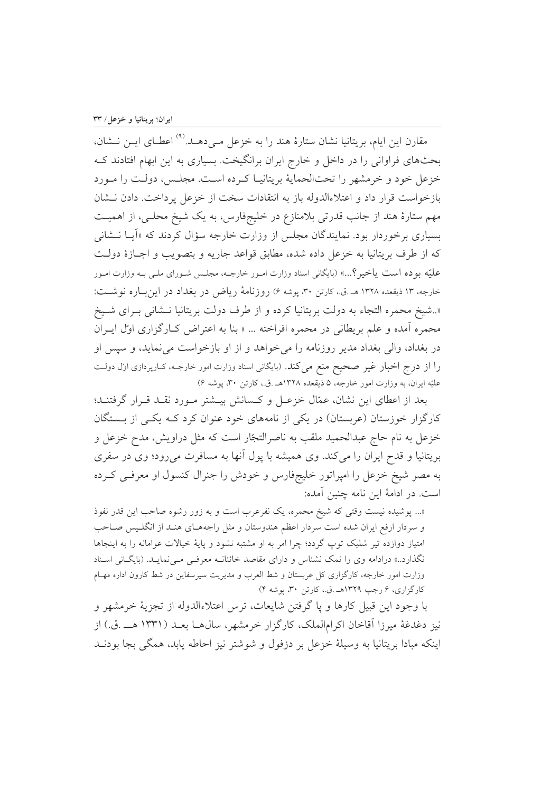مقارن این ایام، بریتانیا نشان ستارهٔ هند را به خزعل مـیدهــد.<sup>(۹)</sup> اعطــای ایــن نــشان، بحثهای فراوانی را در داخل و خارج ایران برانگیخت. بسیاری به این ابهام افتادند ک خزعل خود و خرمشهر را تحتالحمایهٔ بریتانیـا کـرده اسـت. مجلـس، دولـت را مـورد بازخواست قرار داد و اعتلاءالدوله باز به انتقادات سخت از خزعل پرداخت. دادن نـشان مهم ستارهٔ هند از جانب قدرتی بلامنازع در خلیجفارس، به یک شیخ محلبی، از اهمیت بسیاری برخوردار بود. نمایندگان مجلس از وزارت خارجه سؤال کردند که «اَیــا نــشان<sub>ی</sub> كه از طرف بريتانيا به خزعل داده شده، مطابق قواعد جاريه و بتصويب و اجــازهٔ دولــت علیّه بوده است یاخیر ؟...» (بایگانی اسناد وزارت امـور خارجـه، مجلـس شـورای ملـی بـه وزارت امـور خارجه، ١٣ ذيقعده ١٣٢٨ هـ .ق.، كارتن ٣٠، پوشه ۶) روزنامة رياض در بغداد در اين باره نوشت: «..شيخ محمره التجاء به دولت بريتانيا كرده و از طرف دولت بريتانيا نـشاني بـراى شـيخ محمره آمده و علم بريطاني در محمره افراخته ... » بنا به اعتراض كـارگزاري اوّل ايـران در بغداد، والی بغداد مدیر روزنامه را می خواهد و از او بازخواست می نماید، و سیس او را از درج اخبار غیر صحیح منع می کند. (بایگانی اسناد وزارت امور خارجـه، کـارپردازی اول دولـت عليّه ايران، به وزارت امور خارجه، ۵ ذيقعده ١٣٢٨هـ .ق.، كارتن ٣٠، پوشه ۶)

بعد از اعطای این نشان، عمّال خزعـل و كـسانش بيـشتر مـورد نقـد قـرار گرفتنـد؛ کارگزار خوزستان (عربستان) در یکی از نامههای خود عنوان کرد کـه یکـی از بــستگان خزعل به نام حاج عبدالحمید ملقب به ناصرالتجّار است که مثل دراویش، مدح خزعل و بریتانیا و قدح ایران را می کند. وی همیشه با پول آنها به مسافرت می رود؛ وی در سفری به مصر شیخ خزعل را امپراتور خلیجفارس و خودش را جنرال کنسول او معرفـی کـرده است. در ادامهٔ این نامه چنین آمده:

«... پوشیده نیست وقتی که شیخ محمره، یک نفرعرب است و به زور رشوه صاحب این قدر نفوذ و سردار ارفع ایران شده است سردار اعظم هندوستان و مثل راجههـای هنـد از انگلـیس صـاحب امتیاز دوازده تیر شلیک توپ گردد؛ چرا امر به او مشتبه نشود و پایهٔ خیالات عوامانه را به اینجاها نگذارد..» درادامه وی را نمک نشناس و دارای مقاصد خائنانـه معرفـی مـینمایـد. (بایگـانی اسـناد وزارت امور خارجه، کارگزاری کل عربستان و شط العرب و مدیریت سیرسفاین در شط کارون اداره مهـام کارگزاری، ۶ رجب ۱۳۲۹هـ .ق.، کارتن ۳۰، پوشه ۴)

با وجود اين قبيل كارها و پا گرفتن شايعات، ترس اعتلاءالدوله از تجزيهٔ خرمشهر و نيز دغدغهٔ ميرزا آقاخان اکرامالملک، کار گزار خرمشهر، سال۱هــا بعــد (۱۳۳۱ هـــ .ق.) از اینکه مبادا بریتانیا به وسیلهٔ خزعل بر دزفول و شوشتر نیز احاطه پابد، همگی بجا بودنــد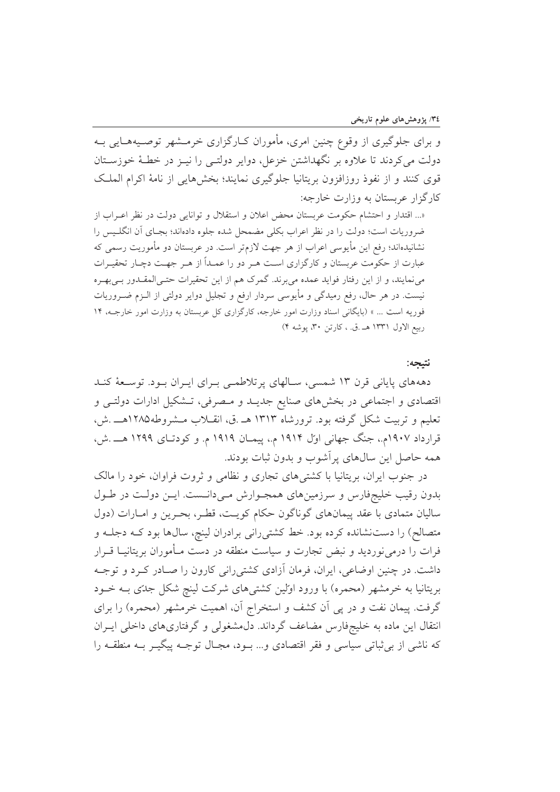و برای جلوگیری از وقوع چنین امری، مأموران کـارگزاری خرمـشهر توصـیههـایی بــه دولت می کردند تا علاوه بر نگهداشتن خزعل، دوایر دولتـی را نیــز در خطــهٔ خوزســتان قوى كنند و از نفوذ روزافزون بريتانيا جلوگيري نمايند؛ بخشهايي از نامهٔ اكرام الملك کارگزار عربستان به وزارت خارجه:

«... اقتدار و احتشام حکومت عربستان محض اعلان و استقلال و توانایی دولت در نظر اعـراب از ضروریات است؛ دولت را در نظر اعراب بکلی مضمحل شده جلوه دادهاند؛ بجـای آن انگلـیس را نشانیدهاند؛ رفع این مأیوسی اعراب از هر جهت لازم¤ر است. در عربستان دو مأموریت رسمی که عبارت از حکومت عربستان و کارگزاری است هـر دو را عمـداً از هـر جهـت دچـار تحقيـرات می نمایند، و از این رفتار فواید عمده میبرند. گمرک هم از این تحقیرات حتـیالمقـدور بـیبهـره نیست. در هر حال، رفع رمیدگی و مأیوسی سردار ارفع و تجلیل دوایر دولتی از الـزم ضــروریات فوریه است ... » (بایگانی اسناد وزارت امور خارجه، کارگزاری کل عربستان به وزارت امور خارجـه، ١۴ ربيع الاول ١٣٣١ هـ .ق. ، كارتن ٣٠، يوشه ۴)

نتيجه:

دهههای پایانی قرن ۱۳ شمسی، سـالهای پرتلاطمـی بـرای ایـران بـود. توسـعهٔ کنـد اقتصادی و اجتماعی در بخشهای صنایع جدیـد و مـصرفی، تـشکیل ادارات دولتـی و تعلیم و تربیت شکل گرفته بود. ترورشاه ۱۳۱۳ هـ .ق، انقـلاب مـشروطه۱۲۸۵هـــ .ش، قرارداد ۱۹۰۷م.، جنگ جهانی اوّل ۱۹۱۴ م.، پیمـان ۱۹۱۹ م. و کودتـای ۱۲۹۹ هـــ .ش، همه حاصل این سالهای پرآشوب و بدون ثبات بودند.

در جنوب ایران، بریتانیا با کشتی های تجاری و نظامی و ثروت فراوان، خود را مالک بدون رقیب خلیجفارس و سرزمینهای همجـوارش مـیدانــست. ایــن دولــت در طــول ساليان متمادي با عقد پيمانهاي گوناگون حكام كويت، قطر، بحرين و امـارات (دول متصالح) را دست نشانده کرده بود. خط کشتی رانبی برادران لینچ، سالها بود کـه دجلـه و فرات را درمی نوردید و نبض تجارت و سیاست منطقه در دست مـأموران بریتانیـا قــرار داشت. در چنین اوضاعی، ایران، فرمان آزادی کشتی رانی کارون را صـادر کـرد و توجـه بریتانیا به خرمشهر (محمره) با ورود اولین کشتبیهای شرکت لینچ شکل جدّی بــه خــود گرفت. پیمان نفت و در پی اَن کشف و استخراج اَن، اهمیت خرمشهر (محمره) را برای انتقال این ماده به خلیجفارس مضاعف گرداند. دل مشغولی و گرفتاری های داخلی ایـران که ناشی از بی ثباتی سیاسی و فقر اقتصادی و... بـود، مجـال توجـه پیگیـر بـه منطقـه را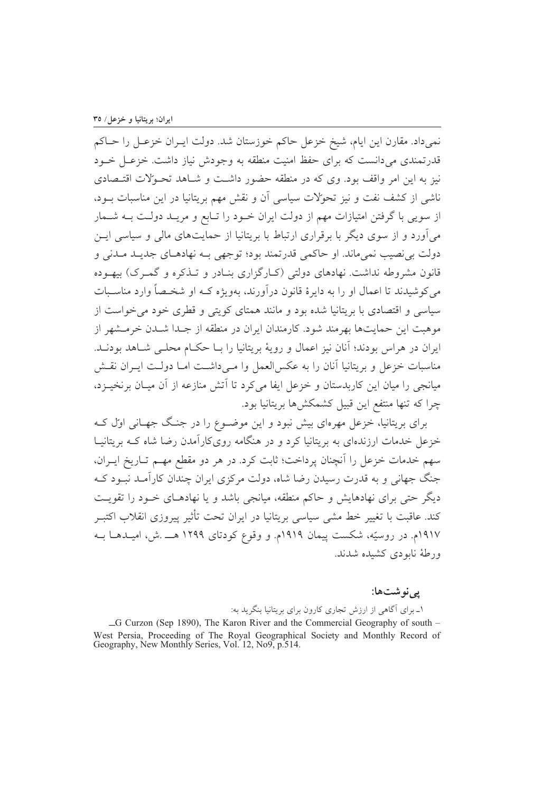نمي داد. مقارن اين ايام، شيخ خزعل حاكم خوزستان شد. دولت ايـران خزعـل را حــاكم قدرتمندی می دانست که برای حفظ امنیت منطقه به وجودش نیاز داشت. خزعـل خــود نیز به این امر واقف بود. وی که در منطقه حضور داشت و شـاهد تحـولات اقتـصادی ناشی از کشف نفت و نیز تحولات سیاسی آن و نقش مهم بریتانیا در این مناسبات بـود، از سویی با گرفتن امتیازات مهم از دولت ایران خـود را تـابع و مریـد دولـت بــه شــمار می آورد و از سوی دیگر با برقراری ارتباط با بریتانیا از حمایتهای مالی و سیاسی ایــن دولت بي نصيب نمي ماند. او حاكمي قدر تمند بود؛ توجهي بـه نهادهـاي جديـد مـدني و قانون مشروطه نداشت. نهادهای دولتی (کـارگزاری بنـادر و تـذکره و گمـرک) بیهـوده مي كوشيدند تا اعمال او را به دايرهٔ قانون درآورند، بهويژه كــه او شخــصاً وارد مناســبات سیاسی و اقتصادی با بریتانیا شده بود و مانند همتای کویتی و قطری خود می خواست از موهبت این حمایتها بهرمند شود. کارمندان ایران در منطقه از جـدا شــدن خرمــشهر از ایران در هراس بودند؛ آنان نیز اعمال و رویهٔ بریتانیا را بــا حکــام محلــی شــاهد بودنــد. مناسبات خزعل و بريتانيا آنان را به عكس العمل وا مبي داشت امـا دولـت ايـران نقـش میانجی را میان این کاربدستان و خزعل ایفا می کرد تا اَتش منازعه از آن میـان برنخیـزد، چرا که تنها منتفع این قبیل کشمکشها بریتانیا بود.

برای بریتانیا، خزعل مهرهای بیش نبود و این موضـوع را در جنگ جهـانی اوّل کـه خزعل خدمات ارزندهای به بریتانیا کرد و در هنگامه روی کارآمدن رضا شاه کـه بریتانیـا سهم خدمات خزعل را آنچنان پرداخت؛ ثابت کرد. در هر دو مقطع مهـم تــاريخ ايــران، جنگ جهانی و به قدرت رسیدن رضا شاه، دولت مرکزی ایران چندان کارآمـد نبـود کـه دیگر حتی برای نهادهایش و حاکم منطقه، میانجی باشد و یا نهادهـای خـود را تقویـت کند. عاقبت با تغییر خط مشی سیاسی بریتانیا در ایران تحت تأثیر پیروزی انقلاب اکتبــر ۱۹۱۷م. در روسیّه، شکست پیمان ۱۹۱۹م. و وقوع کودتای ۱۲۹۹ هـــ .ش، امیــدهــا بــه ورطهٔ ناپودی کشیده شدند.

یے نو شتھا:

۱ــ برای اگاهی از ارزش تجاری کارون برای بریتانیا بنگرید به:

 $-G$  Curzon (Sep 1890), The Karon River and the Commercial Geography of south  $-G$ West Persia, Proceeding of The Royal Geographical Society and Monthly Record of Geography, New Monthly Series, Vol. 12, No9, p.514.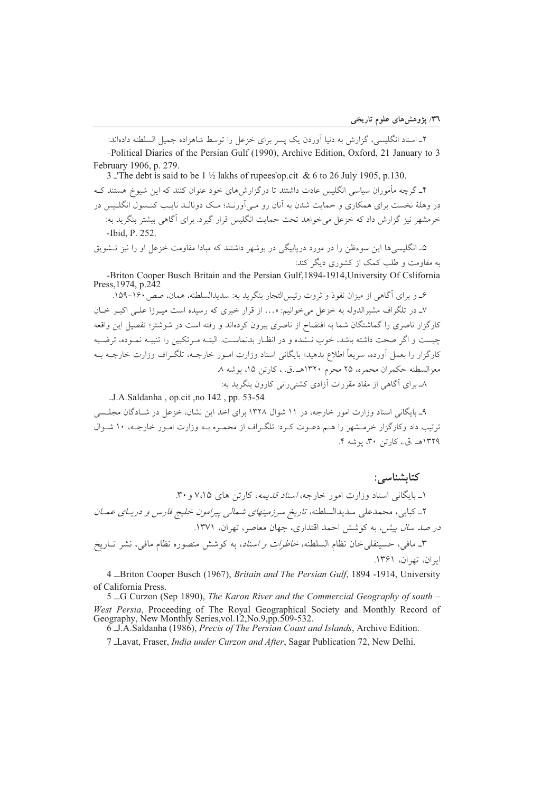۲\_ اسناد انگلیسی، گزارش به دنیا آوردن یک پسر برای خزعل را توسط شاهزاده جمیل السلطنه دادهاند: -Political Diaries of the Persian Gulf (1990), Archive Edition, Oxford, 21 January to 3 February 1906, p. 279.

3 The debt is said to be  $1\frac{1}{2}$  lakhs of rupees' op. cit & 6 to 26 July 1905, p.130. ۴ـ گرچه مأموران سیاسی انگلیس عادت داشتند تا درگزارش های خود عنوان کنند که این شیوخ هستند کـه در وهلهٔ نخست برای همکاری و حمایت شدن به آنان رو مـی آورنـد؛ مـک دونالـد نایـب کنـسول انگلـیس در خرمشهر نیز گزارش داد که خزعل می خواهد تحت حمایت انگلیس قرار گیرد. برای آگاهی بیشتر بنگرید به: -Ibid, P. 252.

۵ـ انگلیسی ها این سوءظن را در مورد دریابیگی در بوشهر داشتند که مبادا مقاومت خزعل او را نیز تـشویق به مقاومت و طلب کمک از کشوری دیگر کند:

-Briton Cooper Busch Britain and the Persian Gulf, 1894-1914, University Of Cslifornia Press, 1974, p.242

ع\_ و براي آگاهي از ميزان نفوذ و ثروت رئيس التجار بنگريد به: سديدالسلطنه، همان، صص ١۶٠-١۵٩. ۷ـ در تلگراف مشیرالدوله به خزعل می خوانیم: «… از قرار خبری که رسیده است میـرزا علـی اکبـر خـان کارگزار ناصری را گماشتگان شما به افتضاح از ناصری بیرون کردهاند و رفته است در شوشتر؛ تفصیل این واقعه چیست و اگر صحت داشته باشد، خوب نــشده و در انظـار بدنماسـت. البتــه مـرتکبین را تنبیــه نمـوده، ترضـیه کارگزار را بعمل اَورده، سریعاً اطلاع بدهید» بایگانی اسناد وزارت امـور خارجــه، تلگـراف وزارت خارجــه بــه معزالسطنه حكمران محمره، ٢۵ محرم ١٣٢٠هـ .ق. ، كارتن ١۵، يوشه ٨. ۸ـ برای آگاهی از مفاد مقررات آزادی کشتی رانی کارون بنگرید به:

J.A.Saldanha, op.cit.no 142, pp. 53-54.

۹\_ بایگانی اسناد وزارت امور خارجه، در ۱۱ شوال ۱۳۲۸ برای اخذ این نشان، خزعل در شـادگان مجلـسی ترتیب داد وکارگزار خرمشهر را هـم دعـوت کـرد: تلگـراف از محمـره بـه وزارت امـور خارجـه، ۱۰ شـوال ١٣٢٩هـ .ق.، کارتن ٣٠، بوشه ۴.

كتاىشناسى: ۱ـ بایگانی اسناد وزارت امور خارجه، *اسناد قدیمه*، کارتن های ۷،۱۵ و ۳۰. ۲\_ کبابی، محمدعلی سدیدالسلطنه، *تاریخ سرزمینهای شمالی پیرامون خلیج فارس و دریـای عمـان* در ص*د سال پیش)* به کوشش احمد اقتداری، جهان معاصر، تهران، ۱۳۷۱. ٣ـ مافي، حسينقلي خان نظام السلطنه، *خاطرات و اسناد*، به كوشش منصوره نظام مافي، نشر تـاريخ ابران، تهران، ۱۳۶۱.

4 \_Briton Cooper Busch (1967), *Britain and The Persian Gulf.* 1894 -1914, University of California Press.

5 G Curzon (Sep 1890), The Karon River and the Commercial Geography of south -West Persia, Proceeding of The Royal Geographical Society and Monthly Record of Geography, New Monthly Series, vol.12, No.9, pp.509-532.

6 J.A.Saldanha (1986), Precis of The Persian Coast and Islands, Archive Edition.

7 Lavat, Fraser, *India under Curzon and After*, Sagar Publication 72, New Delhi.